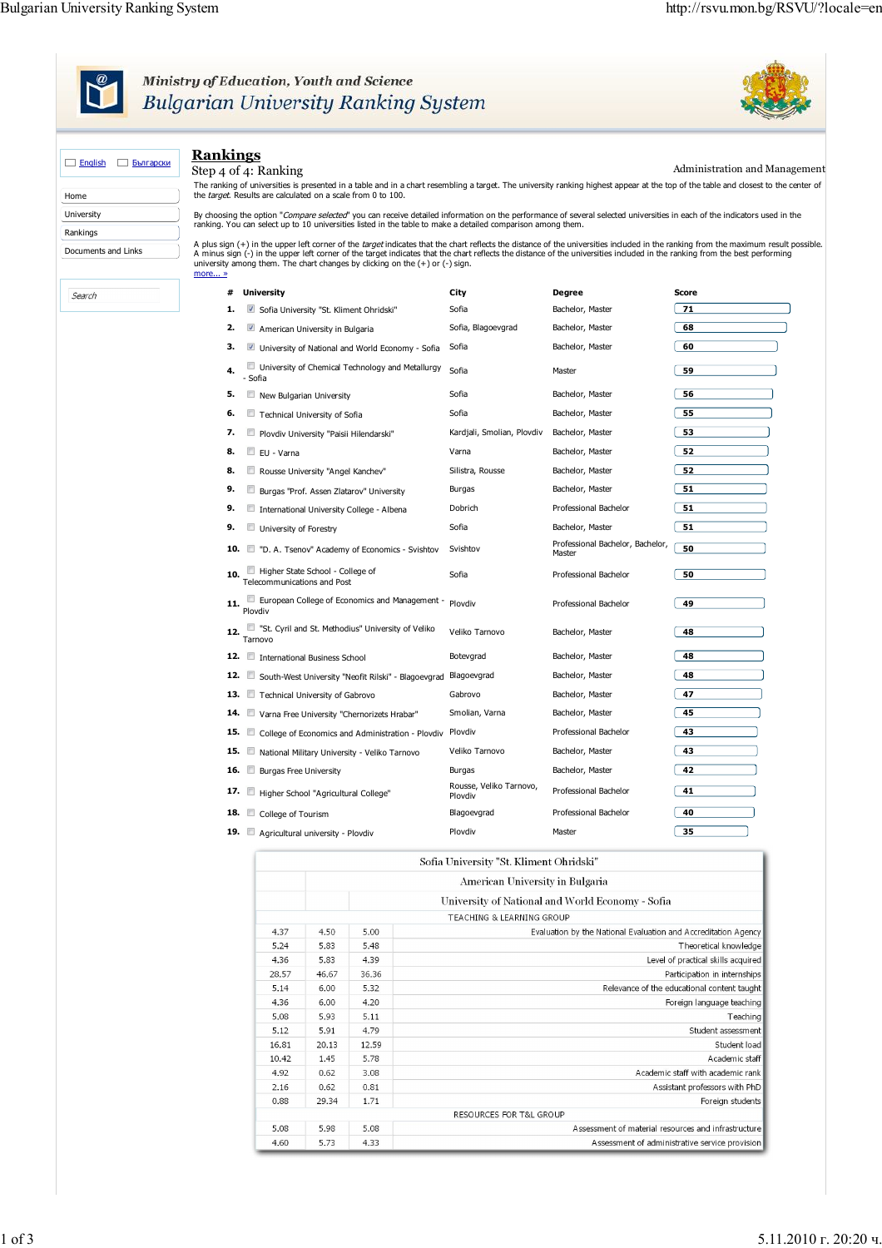

## Ministry of Education, Youth and Science<br>Bulgarian University Ranking System



| $\Box$ English<br>Български | <b>Rankings</b><br>Step 4 of 4: Ranking                                                                                                                                                                                                                                                                                                                                                                                                                         |                                         |                                                  | Administration and Management |  |  |  |  |
|-----------------------------|-----------------------------------------------------------------------------------------------------------------------------------------------------------------------------------------------------------------------------------------------------------------------------------------------------------------------------------------------------------------------------------------------------------------------------------------------------------------|-----------------------------------------|--------------------------------------------------|-------------------------------|--|--|--|--|
| Home                        | The ranking of universities is presented in a table and in a chart resembling a target. The university ranking highest appear at the top of the table and closest to the center of<br>the target. Results are calculated on a scale from 0 to 100.                                                                                                                                                                                                              |                                         |                                                  |                               |  |  |  |  |
| University                  | By choosing the option "Compare selected" you can receive detailed information on the performance of several selected universities in each of the indicators used in the                                                                                                                                                                                                                                                                                        |                                         |                                                  |                               |  |  |  |  |
| Rankings                    | ranking. You can select up to 10 universities listed in the table to make a detailed comparison among them.                                                                                                                                                                                                                                                                                                                                                     |                                         |                                                  |                               |  |  |  |  |
| Documents and Links         | A plus sign (+) in the upper left corner of the target indicates that the chart reflects the distance of the universities induded in the ranking from the maximum result possible.<br>A minus sign (-) in the upper left corner of the target indicates that the chart reflects the distance of the universities included in the ranking from the best performing<br>university among them. The chart changes by clicking on the $(+)$ or $(-)$ sign.<br>more » |                                         |                                                  |                               |  |  |  |  |
| Search                      | <b>University</b><br>#                                                                                                                                                                                                                                                                                                                                                                                                                                          | City                                    | <b>Degree</b>                                    | Score                         |  |  |  |  |
|                             | 1.<br>Sofia University "St. Kliment Ohridski"                                                                                                                                                                                                                                                                                                                                                                                                                   | Sofia                                   | Bachelor, Master                                 | 71                            |  |  |  |  |
|                             | 2.<br>American University in Bulgaria                                                                                                                                                                                                                                                                                                                                                                                                                           | Sofia, Blagoevgrad                      | Bachelor, Master                                 | 68                            |  |  |  |  |
|                             | з.<br>University of National and World Economy - Sofia                                                                                                                                                                                                                                                                                                                                                                                                          | Sofia                                   | Bachelor, Master                                 | 60                            |  |  |  |  |
|                             | University of Chemical Technology and Metallurgy<br>4.<br>- Sofia                                                                                                                                                                                                                                                                                                                                                                                               | Sofia                                   | Master                                           | 59                            |  |  |  |  |
|                             | 5.<br>New Bulgarian University                                                                                                                                                                                                                                                                                                                                                                                                                                  | Sofia                                   | Bachelor, Master                                 | 56                            |  |  |  |  |
|                             | Technical University of Sofia<br>6.                                                                                                                                                                                                                                                                                                                                                                                                                             | Sofia                                   | Bachelor, Master                                 | 55                            |  |  |  |  |
|                             | 7.<br>Plovdiv University "Paisii Hilendarski"                                                                                                                                                                                                                                                                                                                                                                                                                   | Kardjali, Smolian, Plovdiv              | Bachelor, Master                                 | 53                            |  |  |  |  |
|                             | 8.<br>EU - Varna                                                                                                                                                                                                                                                                                                                                                                                                                                                | Varna                                   | Bachelor, Master                                 | 52                            |  |  |  |  |
|                             | 8.<br>Rousse University "Angel Kanchev"                                                                                                                                                                                                                                                                                                                                                                                                                         | Silistra, Rousse                        | Bachelor, Master                                 | 52                            |  |  |  |  |
|                             | 9.<br>m.<br>Burgas "Prof. Assen Zlatarov" University                                                                                                                                                                                                                                                                                                                                                                                                            | Burgas                                  | Bachelor, Master                                 | 51                            |  |  |  |  |
|                             | 9.<br>International University College - Albena                                                                                                                                                                                                                                                                                                                                                                                                                 | Dobrich                                 | Professional Bachelor                            | 51                            |  |  |  |  |
|                             | 9.<br>University of Forestry                                                                                                                                                                                                                                                                                                                                                                                                                                    | Sofia                                   | Bachelor, Master                                 | 51                            |  |  |  |  |
|                             | 10.<br>"D. A. Tsenov" Academy of Economics - Svishtov                                                                                                                                                                                                                                                                                                                                                                                                           | Svishtov                                | Professional Bachelor, Bachelor,<br>Master       | 50                            |  |  |  |  |
|                             | Higher State School - College of<br>10.<br>Telecommunications and Post                                                                                                                                                                                                                                                                                                                                                                                          | Sofia                                   | Professional Bachelor                            | 50                            |  |  |  |  |
|                             | European College of Economics and Management -<br>11.<br>Plovdiv                                                                                                                                                                                                                                                                                                                                                                                                | Plovdiv                                 | Professional Bachelor                            | 49                            |  |  |  |  |
|                             | "St. Cyril and St. Methodius" University of Veliko<br>12.<br>Tarnovo                                                                                                                                                                                                                                                                                                                                                                                            | Veliko Tarnovo                          | Bachelor, Master                                 | 48                            |  |  |  |  |
|                             | 12. International Business School                                                                                                                                                                                                                                                                                                                                                                                                                               | Botevgrad                               | Bachelor, Master                                 | 48                            |  |  |  |  |
|                             | 12.<br>South-West University "Neofit Rilski" - Blagoevgrad                                                                                                                                                                                                                                                                                                                                                                                                      | Blagoevgrad                             | Bachelor, Master                                 | 48                            |  |  |  |  |
|                             | 13. Technical University of Gabrovo                                                                                                                                                                                                                                                                                                                                                                                                                             | Gabrovo                                 | Bachelor, Master                                 | 47                            |  |  |  |  |
|                             | 14.<br>Varna Free University "Chernorizets Hrabar"                                                                                                                                                                                                                                                                                                                                                                                                              | Smolian, Varna                          | Bachelor, Master                                 | 45                            |  |  |  |  |
|                             | 15.<br><b>FT</b><br>College of Economics and Administration - Plovdiv                                                                                                                                                                                                                                                                                                                                                                                           | Plovdiv                                 | Professional Bachelor                            | 43                            |  |  |  |  |
|                             | 15.<br>National Military University - Veliko Tarnovo                                                                                                                                                                                                                                                                                                                                                                                                            | Veliko Tarnovo                          | Bachelor, Master                                 | 43                            |  |  |  |  |
|                             | 16. $\Box$<br><b>Burgas Free University</b>                                                                                                                                                                                                                                                                                                                                                                                                                     | Burgas                                  | Bachelor, Master                                 | 42                            |  |  |  |  |
|                             | 17. E<br>Higher School "Agricultural College"                                                                                                                                                                                                                                                                                                                                                                                                                   | Rousse, Veliko Tarnovo,<br>Plovdiv      | Professional Bachelor                            | 41                            |  |  |  |  |
|                             | 18. College of Tourism                                                                                                                                                                                                                                                                                                                                                                                                                                          | Blagoevgrad                             | Professional Bachelor                            | 40                            |  |  |  |  |
|                             | 19. Agricultural university - Plovdiv                                                                                                                                                                                                                                                                                                                                                                                                                           | Plovdiv                                 | Master                                           | 35                            |  |  |  |  |
|                             |                                                                                                                                                                                                                                                                                                                                                                                                                                                                 | Sofia University "St. Kliment Ohridski" |                                                  |                               |  |  |  |  |
|                             |                                                                                                                                                                                                                                                                                                                                                                                                                                                                 | American University in Bulgaria         |                                                  |                               |  |  |  |  |
|                             |                                                                                                                                                                                                                                                                                                                                                                                                                                                                 |                                         | University of National and World Economy - Sofia |                               |  |  |  |  |
|                             |                                                                                                                                                                                                                                                                                                                                                                                                                                                                 | <b>TEACHING &amp; LEARNING GROUP</b>    |                                                  |                               |  |  |  |  |

| <b>TEACHING &amp; LEARNING GROUP</b>                           |       |       |       |  |  |
|----------------------------------------------------------------|-------|-------|-------|--|--|
| Evaluation by the National Evaluation and Accreditation Agency | 5.00  | 4.50  | 4.37  |  |  |
| Theoretical knowledge                                          | 5.48  | 5.83  | 5.24  |  |  |
| Level of practical skills acquired                             | 4.39  | 5.83  | 4.36  |  |  |
| Participation in internships                                   | 36.36 | 46.67 | 28.57 |  |  |
| Relevance of the educational content taught                    | 5.32  | 6.00  | 5.14  |  |  |
| Foreign language teaching                                      | 4.20  | 6.00  | 4.36  |  |  |
| Teaching                                                       | 5.11  | 5.93  | 5.08  |  |  |
| Student assessment                                             | 4.79  | 5.91  | 5.12  |  |  |
| Student load                                                   | 12.59 | 20.13 | 16.81 |  |  |
| Academic staff                                                 | 5.78  | 1.45  | 10.42 |  |  |
| Academic staff with academic rank                              | 3.08  | 0.62  | 4.92  |  |  |
| Assistant professors with PhD                                  | 0.81  | 0.62  | 2.16  |  |  |
| Foreign students                                               | 1.71  | 29.34 | 0.88  |  |  |
| RESOURCES FOR T&L GROUP                                        |       |       |       |  |  |
| Assessment of material resources and infrastructure            | 5.08  | 5.98  | 5.08  |  |  |
| Assessment of administrative service provision                 | 4.33  | 5.73  | 4.60  |  |  |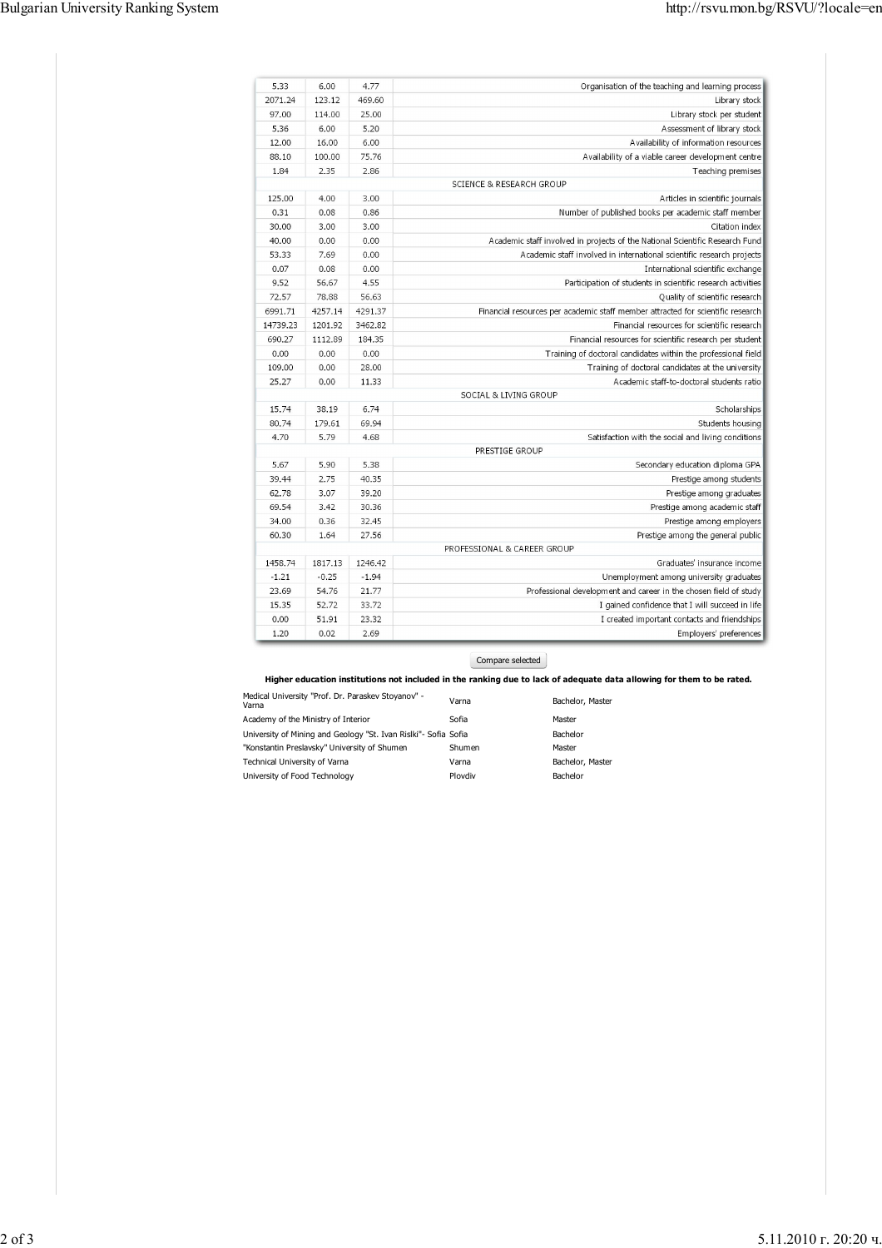| 6.00<br>4.77<br>Organisation of the teaching and learning process                                     |  | 5.33     |
|-------------------------------------------------------------------------------------------------------|--|----------|
| 123.12<br>469.60<br>Library stock                                                                     |  | 2071.24  |
| Library stock per student<br>114.00<br>25.00                                                          |  | 97.00    |
| 6.00<br>5.20<br>Assessment of library stock                                                           |  | 5.36     |
| 16.00<br>6.00<br>Availability of information resources                                                |  | 12.00    |
| 75.76<br>100.00<br>Availability of a viable career development centre                                 |  | 88.10    |
| 2.35<br>2.86<br>Teaching premises                                                                     |  | 1.84     |
| <b>SCIENCE &amp; RESEARCH GROUP</b>                                                                   |  |          |
| 4.00<br>3.00<br>Articles in scientific journals                                                       |  | 125.00   |
| 0.08<br>0.86<br>Number of published books per academic staff member                                   |  | 0.31     |
| 3.00<br>3.00<br>Citation index                                                                        |  | 30.00    |
| 0.00<br>0.00<br>Academic staff involved in projects of the National Scientific Research Fund          |  | 40.00    |
| 7.69<br>0.00<br>Academic staff involved in international scientific research projects                 |  | 53.33    |
| 0.08<br>0.00<br>International scientific exchange                                                     |  | 0.07     |
| 56.67<br>4.55<br>Participation of students in scientific research activities                          |  | 9.52     |
| 56.63<br>78.88<br>Quality of scientific research                                                      |  | 72.57    |
| 4257.14<br>4291.37<br>Financial resources per academic staff member attracted for scientific research |  | 6991.71  |
| 1201.92<br>3462.82<br>Financial resources for scientific research                                     |  | 14739.23 |
| 1112.89<br>184 35<br>Financial resources for scientific research per student                          |  | 690.27   |
| 0.00<br>0.00<br>Training of doctoral candidates within the professional field                         |  | 0.00     |
| 0.00<br>28.00<br>Training of doctoral candidates at the university                                    |  | 109.00   |
| 0.00<br>11.33<br>Academic staff-to-doctoral students ratio                                            |  | 25.27    |
| SOCIAL & LIVING GROUP                                                                                 |  |          |
| 38.19<br>6.74<br>Scholarships                                                                         |  | 15.74    |
| 179.61<br>69.94<br>Students housing                                                                   |  | 80.74    |
| 5.79<br>Satisfaction with the social and living conditions<br>4.68                                    |  | 4.70     |
| PRESTIGE GROUP                                                                                        |  |          |
| 5.90<br>5.38<br>Secondary education diploma GPA                                                       |  | 5.67     |
| 2.75<br>40.35<br>Prestige among students                                                              |  | 39.44    |
| 3.07<br>39 20<br>Prestige among graduates                                                             |  | 62.78    |
| 3.42<br>30.36<br>Prestige among academic staff                                                        |  | 69.54    |
| 0.36<br>32.45<br>Prestige among employers                                                             |  | 34.00    |
| 1.64<br>27.56<br>Prestige among the general public                                                    |  | 60.30    |
| PROFESSIONAL & CAREER GROUP                                                                           |  |          |
| 1817.13<br>1246.42<br>Graduates' insurance income                                                     |  | 1458.74  |
| $-0.25$<br>$-1.94$<br>Unemployment among university graduates                                         |  | $-1.21$  |
| 54.76<br>21.77<br>Professional development and career in the chosen field of study                    |  | 23.69    |
| 52.72<br>33.72<br>I gained confidence that I will succeed in life                                     |  | 15.35    |
| 51.91<br>23.32<br>I created important contacts and friendships                                        |  | 0.00     |
| 0.02<br>2.69<br>Employers' preferences                                                                |  | 1.20     |

Compare selected

**Higher education institutions not included in the ranking due to lack of adequate data allowing for them to be rated.**

| Medical University "Prof. Dr. Paraskev Stoyanov" -<br>Varna     | Varna   | Bachelor, Master |
|-----------------------------------------------------------------|---------|------------------|
| Academy of the Ministry of Interior                             | Sofia   | Master           |
| University of Mining and Geology "St. Ivan Rislki"- Sofia Sofia |         | Bachelor         |
| "Konstantin Preslavsky" University of Shumen                    | Shumen  | Master           |
| Technical University of Varna                                   | Varna   | Bachelor, Master |
| University of Food Technology                                   | Ploydiv | Bachelor         |
|                                                                 |         |                  |